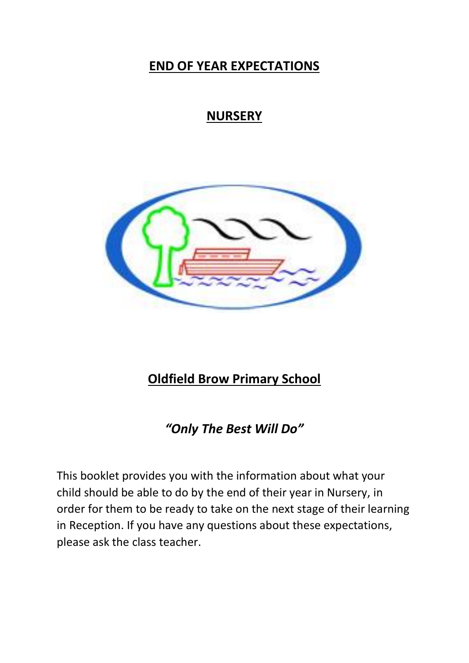## **END OF YEAR EXPECTATIONS**

# **NURSERY**



## **Oldfield Brow Primary School**

*"Only The Best Will Do"*

This booklet provides you with the information about what your child should be able to do by the end of their year in Nursery, in order for them to be ready to take on the next stage of their learning in Reception. If you have any questions about these expectations, please ask the class teacher.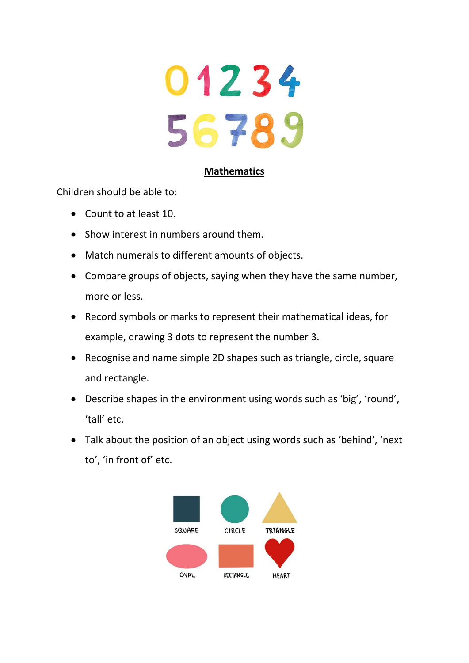

### **Mathematics**

Children should be able to:

- Count to at least 10.
- Show interest in numbers around them.
- Match numerals to different amounts of objects.
- Compare groups of objects, saying when they have the same number, more or less.
- Record symbols or marks to represent their mathematical ideas, for example, drawing 3 dots to represent the number 3.
- Recognise and name simple 2D shapes such as triangle, circle, square and rectangle.
- Describe shapes in the environment using words such as 'big', 'round', 'tall' etc.
- Talk about the position of an object using words such as 'behind', 'next to', 'in front of' etc.

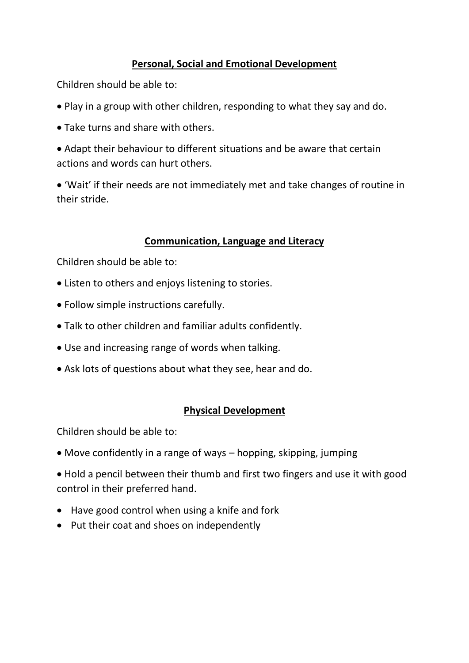## **Personal, Social and Emotional Development**

Children should be able to:

- Play in a group with other children, responding to what they say and do.
- Take turns and share with others.

• Adapt their behaviour to different situations and be aware that certain actions and words can hurt others.

• 'Wait' if their needs are not immediately met and take changes of routine in their stride.

### **Communication, Language and Literacy**

Children should be able to:

- Listen to others and enjoys listening to stories.
- Follow simple instructions carefully.
- Talk to other children and familiar adults confidently.
- Use and increasing range of words when talking.
- Ask lots of questions about what they see, hear and do.

## **Physical Development**

Children should be able to:

- Move confidently in a range of ways hopping, skipping, jumping
- Hold a pencil between their thumb and first two fingers and use it with good control in their preferred hand.
- Have good control when using a knife and fork
- Put their coat and shoes on independently